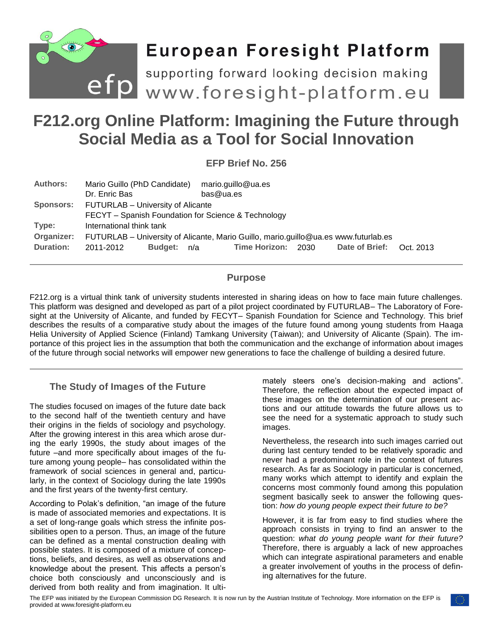

# **European Foresight Platform**

**F212.org Online Platform: Imagining the Future through <br>
F212.org Online Platform: Imagining the Future through** 

# **Social Media as a Tool for Social Innovation**

**EFP Brief No. 256**

| <b>Authors:</b> | Mario Guillo (PhD Candidate)<br>Dr. Enric Bas                                       | bas@ua.es | mario.guillo@ua.es |  |                          |  |
|-----------------|-------------------------------------------------------------------------------------|-----------|--------------------|--|--------------------------|--|
|                 | Sponsors: FUTURLAB - University of Alicante                                         |           |                    |  |                          |  |
|                 | FECYT - Spanish Foundation for Science & Technology                                 |           |                    |  |                          |  |
| Type:           | International think tank                                                            |           |                    |  |                          |  |
| Organizer:      | FUTURLAB - University of Alicante, Mario Guillo, mario.guillo@ua.es www.futurlab.es |           |                    |  |                          |  |
| Duration:       | Budget: n/a<br>2011-2012                                                            |           | Time Horizon: 2030 |  | Date of Brief: Oct. 2013 |  |

# **Purpose**

F212.org is a virtual think tank of university students interested in sharing ideas on how to face main future challenges. This platform was designed and developed as part of a pilot project coordinated by FUTURLAB– The Laboratory of Foresight at the University of Alicante, and funded by FECYT– Spanish Foundation for Science and Technology. This brief describes the results of a comparative study about the images of the future found among young students from Haaga Helia University of Applied Science (Finland) Tamkang University (Taiwan); and University of Alicante (Spain). The importance of this project lies in the assumption that both the communication and the exchange of information about images of the future through social networks will empower new generations to face the challenge of building a desired future.

# **The Study of Images of the Future**

The studies focused on images of the future date back to the second half of the twentieth century and have their origins in the fields of sociology and psychology. After the growing interest in this area which arose during the early 1990s, the study about images of the future –and more specifically about images of the future among young people– has consolidated within the framework of social sciences in general and, particularly, in the context of Sociology during the late 1990s and the first years of the twenty-first century.

According to Polak's definition, "an image of the future is made of associated memories and expectations. It is a set of long-range goals which stress the infinite possibilities open to a person. Thus, an image of the future can be defined as a mental construction dealing with possible states. It is composed of a mixture of conceptions, beliefs, and desires, as well as observations and knowledge about the present. This affects a person's choice both consciously and unconsciously and is derived from both reality and from imagination. It ultimately steers one's decision-making and actions". Therefore, the reflection about the expected impact of these images on the determination of our present actions and our attitude towards the future allows us to see the need for a systematic approach to study such images.

Nevertheless, the research into such images carried out during last century tended to be relatively sporadic and never had a predominant role in the context of futures research. As far as Sociology in particular is concerned, many works which attempt to identify and explain the concerns most commonly found among this population segment basically seek to answer the following question: *how do young people expect their future to be?*

However, it is far from easy to find studies where the approach consists in trying to find an answer to the question: *what do young people want for their future?* Therefore, there is arguably a lack of new approaches which can integrate aspirational parameters and enable a greater involvement of youths in the process of defining alternatives for the future.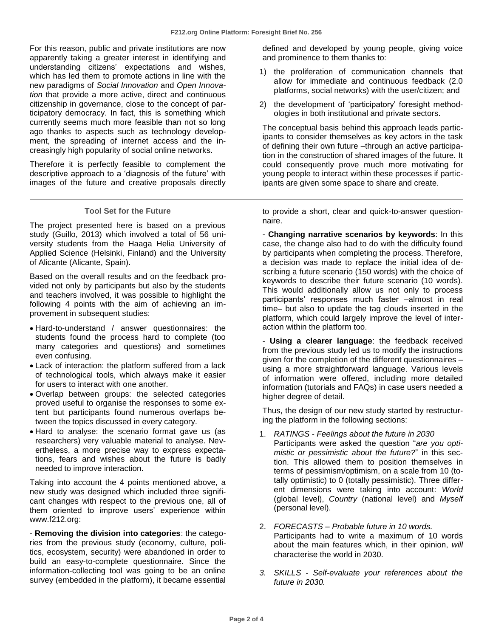For this reason, public and private institutions are now apparently taking a greater interest in identifying and understanding citizens' expectations and wishes, which has led them to promote actions in line with the new paradigms of *Social Innovation* and *Open Innovation* that provide a more active, direct and continuous citizenship in governance, close to the concept of participatory democracy. In fact, this is something which currently seems much more feasible than not so long ago thanks to aspects such as technology development, the spreading of internet access and the increasingly high popularity of social online networks.

Therefore it is perfectly feasible to complement the descriptive approach to a 'diagnosis of the future' with images of the future and creative proposals directly

#### **Tool Set for the Future**

The project presented here is based on a previous study (Guillo, 2013) which involved a total of 56 university students from the Haaga Helia University of Applied Science (Helsinki, Finland) and the University of Alicante (Alicante, Spain).

Based on the overall results and on the feedback provided not only by participants but also by the students and teachers involved, it was possible to highlight the following 4 points with the aim of achieving an improvement in subsequent studies:

- Hard-to-understand / answer questionnaires: the students found the process hard to complete (too many categories and questions) and sometimes even confusing.
- Lack of interaction: the platform suffered from a lack of technological tools, which always make it easier for users to interact with one another.
- Overlap between groups: the selected categories proved useful to organise the responses to some extent but participants found numerous overlaps between the topics discussed in every category.
- Hard to analyse: the scenario format gave us (as researchers) very valuable material to analyse. Nevertheless, a more precise way to express expectations, fears and wishes about the future is badly needed to improve interaction.

Taking into account the 4 points mentioned above, a new study was designed which included three significant changes with respect to the previous one, all of them oriented to improve users' experience within www.f212.org:

- **Removing the division into categories**: the categories from the previous study (economy, culture, politics, ecosystem, security) were abandoned in order to build an easy-to-complete questionnaire. Since the information-collecting tool was going to be an online survey (embedded in the platform), it became essential

defined and developed by young people, giving voice and prominence to them thanks to:

- 1) the proliferation of communication channels that allow for immediate and continuous feedback (2.0 platforms, social networks) with the user/citizen; and
- 2) the development of 'participatory' foresight methodologies in both institutional and private sectors.

The conceptual basis behind this approach leads participants to consider themselves as key actors in the task of defining their own future –through an active participation in the construction of shared images of the future. It could consequently prove much more motivating for young people to interact within these processes if participants are given some space to share and create.

to provide a short, clear and quick-to-answer questionnaire.

- **Changing narrative scenarios by keywords**: In this case, the change also had to do with the difficulty found by participants when completing the process. Therefore, a decision was made to replace the initial idea of describing a future scenario (150 words) with the choice of keywords to describe their future scenario (10 words). This would additionally allow us not only to process participants' responses much faster –almost in real time– but also to update the tag clouds inserted in the platform, which could largely improve the level of interaction within the platform too.

- **Using a clearer language**: the feedback received from the previous study led us to modify the instructions given for the completion of the different questionnaires – using a more straightforward language. Various levels of information were offered, including more detailed information (tutorials and FAQs) in case users needed a higher degree of detail.

Thus, the design of our new study started by restructuring the platform in the following sections:

- 1. *RATINGS Feelings about the future in 2030* Participants were asked the question "*are you optimistic or pessimistic about the future?*" in this section. This allowed them to position themselves in terms of pessimism/optimism, on a scale from 10 (totally optimistic) to 0 (totally pessimistic). Three different dimensions were taking into account: *World* (global level), *Country* (national level) and *Myself* (personal level).
- 2. *FORECASTS – Probable future in 10 words.* Participants had to write a maximum of 10 words about the main features which, in their opinion, *will* characterise the world in 2030.
- *3. SKILLS - Self-evaluate your references about the future in 2030.*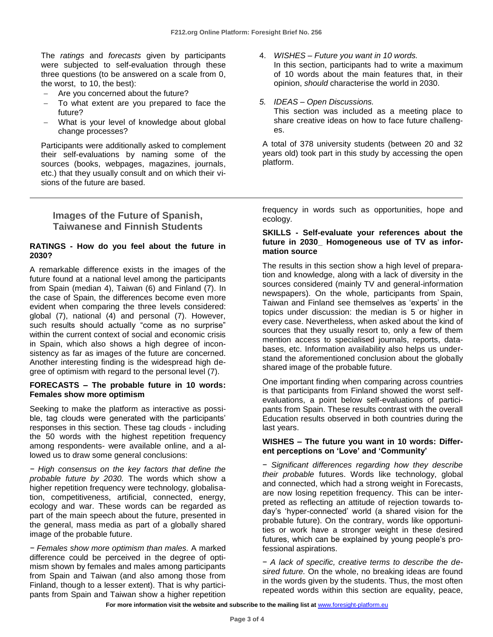The *ratings* and *forecasts* given by participants were subjected to self-evaluation through these three questions (to be answered on a scale from 0, the worst, to 10, the best):

- Are you concerned about the future?
- To what extent are you prepared to face the future?
- What is your level of knowledge about global change processes?

Participants were additionally asked to complement their self-evaluations by naming some of the sources (books, webpages, magazines, journals, etc.) that they usually consult and on which their visions of the future are based.

# **Images of the Future of Spanish, Taiwanese and Finnish Students**

#### **RATINGS - How do you feel about the future in 2030?**

A remarkable difference exists in the images of the future found at a national level among the participants from Spain (median 4), Taiwan (6) and Finland (7). In the case of Spain, the differences become even more evident when comparing the three levels considered: global (7), national (4) and personal (7). However, such results should actually "come as no surprise" within the current context of social and economic crisis in Spain, which also shows a high degree of inconsistency as far as images of the future are concerned. Another interesting finding is the widespread high degree of optimism with regard to the personal level (7).

#### **FORECASTS – The probable future in 10 words: Females show more optimism**

Seeking to make the platform as interactive as possible, tag clouds were generated with the participants' responses in this section. These tag clouds - including the 50 words with the highest repetition frequency among respondents- were available online, and a allowed us to draw some general conclusions:

*− High consensus on the key factors that define the probable future by 2030.* The words which show a higher repetition frequency were technology, globalisation, competitiveness, artificial, connected, energy, ecology and war. These words can be regarded as part of the main speech about the future, presented in the general, mass media as part of a globally shared image of the probable future.

*− Females show more optimism than males.* A marked difference could be perceived in the degree of optimism shown by females and males among participants from Spain and Taiwan (and also among those from Finland, though to a lesser extent). That is why participants from Spain and Taiwan show a higher repetition

- 4. *WISHES – Future you want in 10 words.* In this section, participants had to write a maximum of 10 words about the main features that, in their opinion, *should* characterise the world in 2030.
- *5. IDEAS – Open Discussions.*

This section was included as a meeting place to share creative ideas on how to face future challenges.

A total of 378 university students (between 20 and 32 years old) took part in this study by accessing the open platform.

frequency in words such as opportunities, hope and ecology.

#### **SKILLS - Self-evaluate your references about the future in 2030\_ Homogeneous use of TV as information source**

The results in this section show a high level of preparation and knowledge, along with a lack of diversity in the sources considered (mainly TV and general-information newspapers). On the whole, participants from Spain, Taiwan and Finland see themselves as 'experts' in the topics under discussion: the median is 5 or higher in every case. Nevertheless, when asked about the kind of sources that they usually resort to, only a few of them mention access to specialised journals, reports, databases, etc. Information availability also helps us understand the aforementioned conclusion about the globally shared image of the probable future.

One important finding when comparing across countries is that participants from Finland showed the worst selfevaluations, a point below self-evaluations of participants from Spain. These results contrast with the overall Education results observed in both countries during the last years.

#### **WISHES – The future you want in 10 words: Different perceptions on 'Love' and 'Community'**

− *Significant differences regarding how they describe their probable* futures. Words like technology, global and connected, which had a strong weight in Forecasts, are now losing repetition frequency. This can be interpreted as reflecting an attitude of rejection towards today's 'hyper-connected' world (a shared vision for the probable future). On the contrary, words like opportunities or work have a stronger weight in these desired futures, which can be explained by young people's professional aspirations.

− *A lack of specific, creative terms to describe the desired future.* On the whole, no breaking ideas are found in the words given by the students. Thus, the most often repeated words within this section are equality, peace,

For more information visit the website and subscribe to the mailing list at [www.foresight-platform.eu](http://www.foresight-platform.eu/)